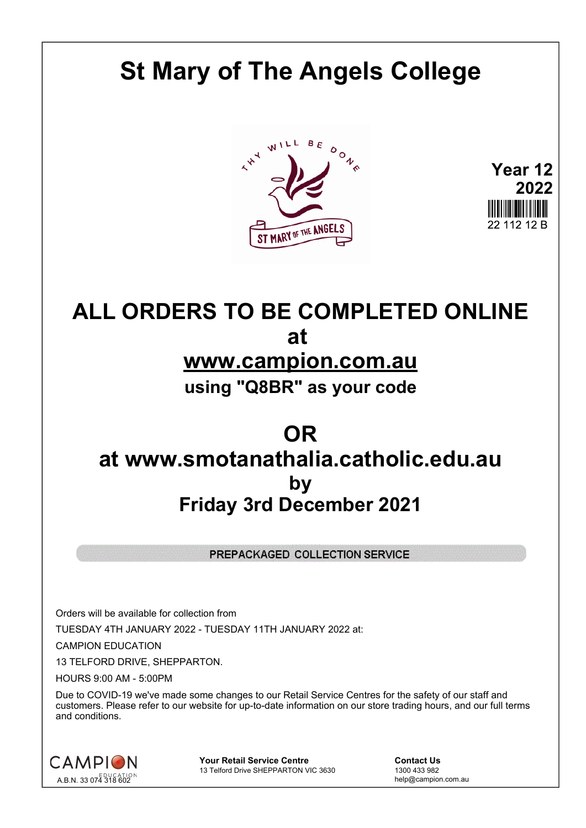# **St Mary of The Angels College**





## **ALL ORDERS TO BE COMPLETED ONLINE at www.campion.com.au**

**using "Q8BR" as your code**

### **OR at www.smotanathalia.catholic.edu.au by Friday 3rd December 2021**

PREPACKAGED COLLECTION SERVICE

Orders will be available for collection from

TUESDAY 4TH JANUARY 2022 - TUESDAY 11TH JANUARY 2022 at:

CAMPION EDUCATION

13 TELFORD DRIVE, SHEPPARTON.

HOURS 9:00 AM - 5:00PM

Due to COVID-19 we've made some changes to our Retail Service Centres for the safety of our staff and customers. Please refer to our website for up-to-date information on our store trading hours, and our full terms and conditions.



**Your Retail Service Centre Contact Us**<br>
13 Telford Drive SHEPPARTON VIC 3630

1300 433 982 13 Telford Drive SHEPPARTON VIC 3630

help@campion.com.au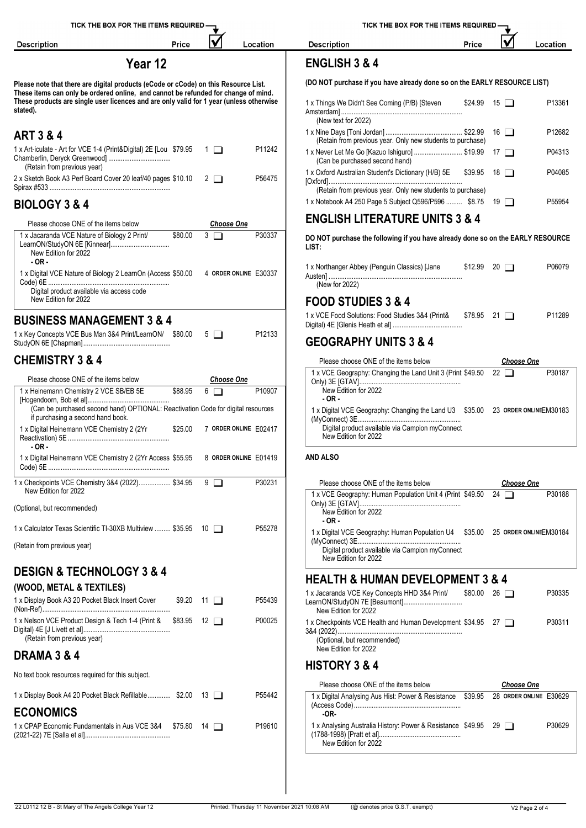| TICK THE BOX FOR THE ITEMS REQUIRED -                                                                                                                                     |         |         |                   |                               | TICK THE BOX FOR THE ITEMS REQUIRED -                                                                                             |       |                          |                   |  |
|---------------------------------------------------------------------------------------------------------------------------------------------------------------------------|---------|---------|-------------------|-------------------------------|-----------------------------------------------------------------------------------------------------------------------------------|-------|--------------------------|-------------------|--|
| <b>Description</b>                                                                                                                                                        |         | Price   |                   | Location                      | <b>Description</b>                                                                                                                | Price |                          | Location          |  |
|                                                                                                                                                                           | Year 12 |         |                   |                               | <b>ENGLISH 3 &amp; 4</b>                                                                                                          |       |                          |                   |  |
| Please note that there are digital products (eCode or cCode) on this Resource List.<br>These items can only be ordered online, and cannot be refunded for change of mind. |         |         |                   |                               | (DO NOT purchase if you have already done so on the EARLY RESOURCE LIST)                                                          |       |                          |                   |  |
| These products are single user licences and are only valid for 1 year (unless otherwise<br>stated).                                                                       |         |         |                   |                               | 1 x Things We Didn't See Coming (P/B) [Steven<br>(New text for 2022)                                                              |       | $$24.99$ 15 $\Box$       | P13361            |  |
| <b>ART 3 &amp; 4</b>                                                                                                                                                      |         |         |                   |                               | (Retain from previous year. Only new students to purchase)                                                                        |       | $16$ $\Box$              | P12682            |  |
| 1 x Art-iculate - Art for VCE 1-4 (Print&Digital) 2E [Lou \$79.95 1 0                                                                                                     |         |         |                   | P11242                        | 1 x Never Let Me Go [Kazuo Ishiguro]  \$19.99 17<br>(Can be purchased second hand)                                                |       |                          | P04313            |  |
| (Retain from previous year)<br>2 x Sketch Book A3 Perf Board Cover 20 leaf/40 pages \$10.10 2                                                                             |         |         |                   | P56475                        | 1 x Oxford Australian Student's Dictionary (H/B) 5E \$39.95 18<br>(Retain from previous year. Only new students to purchase)      |       |                          | P04085            |  |
| <b>BIOLOGY 3 &amp; 4</b>                                                                                                                                                  |         |         |                   |                               | 1 x Notebook A4 250 Page 5 Subject Q596/P596  \$8.75 19                                                                           |       |                          | P55954            |  |
| Please choose ONE of the items below                                                                                                                                      |         |         | <b>Choose One</b> |                               | <b>ENGLISH LITERATURE UNITS 3 &amp; 4</b>                                                                                         |       |                          |                   |  |
| 1 x Jacaranda VCE Nature of Biology 2 Print/<br>LearnON/StudyON 6E [Kinnear]<br>New Edition for 2022<br>$-OR -$                                                           |         | \$80.00 | $3\Box$           | P30337                        | DO NOT purchase the following if you have already done so on the EARLY RESOURCE<br>LIST:                                          |       |                          |                   |  |
| 1 x Digital VCE Nature of Biology 2 LearnOn (Access \$50.00 4 ORDER ONLINE E30337<br>Digital product available via access code                                            |         |         |                   |                               | 1 x Northanger Abbey (Penguin Classics) [Jane<br>(New for 2022)                                                                   |       | $$12.99$ 20 $\Box$       | P06079            |  |
| New Edition for 2022                                                                                                                                                      |         |         |                   |                               | <b>FOOD STUDIES 3 &amp; 4</b>                                                                                                     |       |                          |                   |  |
| <b>BUSINESS MANAGEMENT 3 &amp; 4</b>                                                                                                                                      |         |         |                   |                               | 1 x VCE Food Solutions: Food Studies 3&4 (Print& \$78.95 21                                                                       |       |                          | P11289            |  |
| 1 x Key Concepts VCE Bus Man 3&4 Print/LearnON/ \$80.00 5                                                                                                                 |         |         |                   | P12133                        | <b>GEOGRAPHY UNITS 3 &amp; 4</b>                                                                                                  |       |                          |                   |  |
| <b>CHEMISTRY 3 &amp; 4</b>                                                                                                                                                |         |         |                   |                               | Please choose ONE of the items below                                                                                              |       |                          | <b>Choose One</b> |  |
| Please choose ONE of the items below                                                                                                                                      |         |         | <b>Choose One</b> |                               | 1 x VCE Geography: Changing the Land Unit 3 (Print \$49.50 22                                                                     |       |                          | P30187            |  |
| 1 x Heinemann Chemistry 2 VCE SB/EB 5E                                                                                                                                    |         | \$88.95 | $6\Box$           | P10907                        | New Edition for 2022<br>$-OR -$                                                                                                   |       |                          |                   |  |
| (Can be purchased second hand) OPTIONAL: Reactivation Code for digital resources<br>if purchasing a second hand book.                                                     |         |         |                   |                               | 1 x Digital VCE Geography: Changing the Land U3 \$35.00 23 ORDER ONLINEEM30183<br>Digital product available via Campion myConnect |       |                          |                   |  |
| 1 x Digital Heinemann VCE Chemistry 2 (2Yr<br>$-OR -$                                                                                                                     |         |         |                   | \$25.00 7 ORDER ONLINE E02417 | New Edition for 2022                                                                                                              |       |                          |                   |  |
| 1 x Digital Heinemann VCE Chemistry 2 (2Yr Access \$55.95 8 ORDER ONLINE E01419                                                                                           |         |         |                   |                               | <b>AND ALSO</b>                                                                                                                   |       |                          |                   |  |
| 1 x Checkpoints VCE Chemistry 3&4 (2022) \$34.95 9<br>New Edition for 2022                                                                                                |         |         |                   | P30231                        | Please choose ONE of the items below                                                                                              |       |                          | <b>Choose One</b> |  |
| (Optional, but recommended)                                                                                                                                               |         |         |                   |                               | 1 x VCE Geography: Human Population Unit 4 (Print \$49.50 24<br>New Edition for 2022                                              |       |                          | P30188            |  |
| 1 x Calculator Texas Scientific TI-30XB Multiview  \$35.95 10                                                                                                             |         |         |                   | P55278                        | $-OR -$<br>1 x Digital VCE Geography: Human Population U4 \$35.00 25 ORDER ONLINEEM30184                                          |       |                          |                   |  |
| (Retain from previous year)                                                                                                                                               |         |         |                   |                               | Digital product available via Campion myConnect<br>New Edition for 2022                                                           |       |                          |                   |  |
| <b>DESIGN &amp; TECHNOLOGY 3 &amp; 4</b>                                                                                                                                  |         |         |                   |                               | <b>HEALTH &amp; HUMAN DEVELOPMENT 3 &amp; 4</b>                                                                                   |       |                          |                   |  |
| (WOOD, METAL & TEXTILES)                                                                                                                                                  |         |         |                   |                               | 1 x Jacaranda VCE Key Concepts HHD 3&4 Print/                                                                                     |       | $$80.00 \quad 26$ $\Box$ | P30335            |  |
| 1 x Display Book A3 20 Pocket Black Insert Cover                                                                                                                          |         |         | $$9.20$ 11 $\Box$ | P55439                        | LearnON/StudyON 7E [Beaumont]<br>New Edition for 2022                                                                             |       |                          |                   |  |
| 1 x Nelson VCE Product Design & Tech 1-4 (Print & \$83.95 12<br>(Retain from previous year)                                                                               |         |         |                   | P00025                        | 1 x Checkpoints VCE Health and Human Development \$34.95 27<br>(Optional, but recommended)                                        |       |                          | P30311            |  |
| <b>DRAMA 3 &amp; 4</b>                                                                                                                                                    |         |         |                   |                               | New Edition for 2022                                                                                                              |       |                          |                   |  |
| No text book resources required for this subject.                                                                                                                         |         |         |                   |                               | <b>HISTORY 3 &amp; 4</b>                                                                                                          |       |                          |                   |  |
| 1 x Display Book A4 20 Pocket Black Refillable \$2.00 13                                                                                                                  |         |         |                   | P55442                        | Please choose ONE of the items below<br>1 x Digital Analysing Aus Hist: Power & Resistance \$39.95 28 ORDER ONLINE E30629         |       |                          | <b>Choose One</b> |  |
| <b>ECONOMICS</b>                                                                                                                                                          |         |         |                   |                               | -OR-                                                                                                                              |       |                          |                   |  |
| 1 x CPAP Economic Fundamentals in Aus VCE 3&4 \$75.80 14                                                                                                                  |         |         |                   | P <sub>19610</sub>            | 1 x Analysing Australia History: Power & Resistance \$49.95 29<br>New Edition for 2022                                            |       |                          | P30629            |  |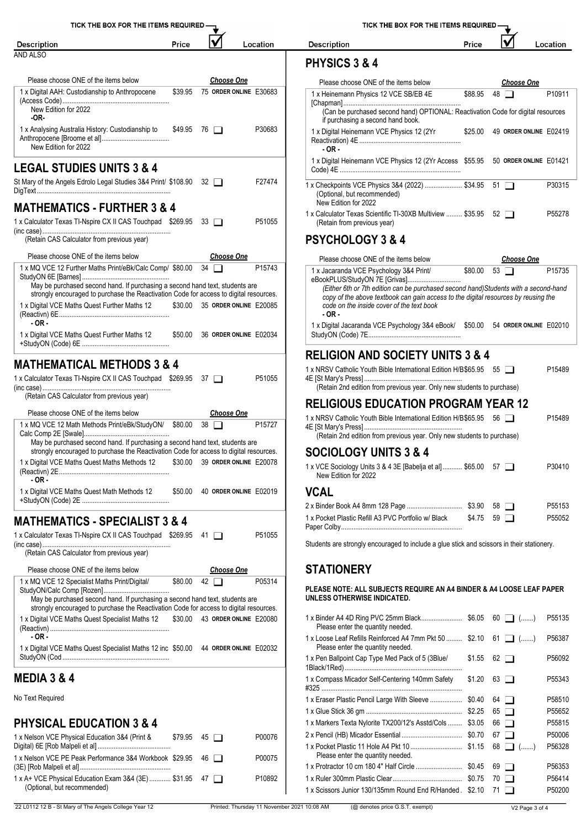| TICK THE BOX FOR THE ITEMS REQUIRED-                                                                                                                                   |         |                                |                        | TICK THE BOX FOR THE ITEMS REQUIRED - |                                                                                                                       |         |                                |          |  |
|------------------------------------------------------------------------------------------------------------------------------------------------------------------------|---------|--------------------------------|------------------------|---------------------------------------|-----------------------------------------------------------------------------------------------------------------------|---------|--------------------------------|----------|--|
| <b>Description</b>                                                                                                                                                     | Price   |                                |                        | Location                              | <b>Description</b>                                                                                                    | Price   |                                | Location |  |
| <b>AND ALSO</b>                                                                                                                                                        |         |                                |                        |                                       |                                                                                                                       |         |                                |          |  |
|                                                                                                                                                                        |         |                                |                        |                                       | PHYSICS 3 & 4                                                                                                         |         |                                |          |  |
| Please choose ONE of the items below                                                                                                                                   |         |                                | <b>Choose One</b>      |                                       | Please choose ONE of the items below                                                                                  |         | <b>Choose One</b>              |          |  |
| 1 x Digital AAH: Custodianship to Anthropocene                                                                                                                         |         | \$39.95 75 ORDER ONLINE E30683 |                        |                                       | 1 x Heinemann Physics 12 VCE SB/EB 4E                                                                                 | \$88.95 | 48 $\Box$                      | P10911   |  |
| New Edition for 2022<br>-OR-                                                                                                                                           |         |                                |                        |                                       | (Can be purchased second hand) OPTIONAL: Reactivation Code for digital resources                                      |         |                                |          |  |
| 1 x Analysing Australia History: Custodianship to                                                                                                                      |         | $$49.95$ 76 $\Box$             |                        | P30683                                | if purchasing a second hand book.<br>1 x Digital Heinemann VCE Physics 12 (2Yr                                        |         | \$25.00 49 ORDER ONLINE E02419 |          |  |
| New Edition for 2022                                                                                                                                                   |         |                                |                        |                                       | - OR -                                                                                                                |         |                                |          |  |
| <b>LEGAL STUDIES UNITS 3 &amp; 4</b>                                                                                                                                   |         |                                |                        |                                       | 1 x Digital Heinemann VCE Physics 12 (2Yr Access \$55.95 50 ORDER ONLINE E01421                                       |         |                                |          |  |
| St Mary of the Angels Edrolo Legal Studies 3&4 Print/ \$108.90 32                                                                                                      |         |                                |                        | F27474                                | 1 x Checkpoints VCE Physics 3&4 (2022)  \$34.95 51<br>(Optional, but recommended)                                     |         |                                | P30315   |  |
| <b>MATHEMATICS - FURTHER 3 &amp; 4</b>                                                                                                                                 |         |                                |                        |                                       | New Edition for 2022<br>1 x Calculator Texas Scientific TI-30XB Multiview  \$35.95 52                                 |         |                                | P55278   |  |
| 1 x Calculator Texas TI-Nspire CX II CAS Touchpad \$269.95 33                                                                                                          |         |                                |                        | P51055                                | (Retain from previous year)                                                                                           |         |                                |          |  |
| (Retain CAS Calculator from previous year)                                                                                                                             |         |                                |                        |                                       | <b>PSYCHOLOGY 3 &amp; 4</b>                                                                                           |         |                                |          |  |
| Please choose ONE of the items below                                                                                                                                   |         |                                | <b>Choose One</b>      |                                       | Please choose ONE of the items below                                                                                  |         | <b>Choose One</b>              |          |  |
| 1 x MQ VCE 12 Further Maths Print/eBk/Calc Comp/ \$80.00 34                                                                                                            |         |                                |                        | P15743                                | 1 x Jacaranda VCE Psychology 3&4 Print/                                                                               |         | \$80.00 53                     | P15735   |  |
| May be purchased second hand. If purchasing a second hand text, students are                                                                                           |         |                                |                        |                                       | eBookPLUS/StudyON 7E [Grivas]<br>(Either 6th or 7th edition can be purchased second hand) Students with a second-hand |         |                                |          |  |
| strongly encouraged to purchase the Reactivation Code for access to digital resources.                                                                                 |         |                                |                        |                                       | copy of the above textbook can gain access to the digital resources by reusing the                                    |         |                                |          |  |
| 1 x Digital VCE Maths Quest Further Maths 12                                                                                                                           |         | \$30.00 35 ORDER ONLINE E20085 |                        |                                       | code on the inside cover of the text book<br>$-OR -$                                                                  |         |                                |          |  |
| $-OR -$                                                                                                                                                                |         |                                |                        |                                       | 1 x Digital Jacaranda VCE Psychology 3&4 eBook/ \$50.00 54 ORDER ONLINE E02010                                        |         |                                |          |  |
| 1 x Digital VCE Maths Quest Further Maths 12                                                                                                                           |         | \$50.00 36 ORDER ONLINE E02034 |                        |                                       |                                                                                                                       |         |                                |          |  |
|                                                                                                                                                                        |         |                                |                        |                                       | <b>RELIGION AND SOCIETY UNITS 3 &amp; 4</b>                                                                           |         |                                |          |  |
| <b>MATHEMATICAL METHODS 3 &amp; 4</b>                                                                                                                                  |         |                                |                        |                                       | 1 x NRSV Catholic Youth Bible International Edition H/B\$65.95 55                                                     |         |                                | P15489   |  |
| 1 x Calculator Texas TI-Nspire CX II CAS Touchpad \$269.95 37                                                                                                          |         |                                |                        | P51055                                | (Retain 2nd edition from previous year. Only new students to purchase)                                                |         |                                |          |  |
| (Retain CAS Calculator from previous year)                                                                                                                             |         |                                |                        |                                       |                                                                                                                       |         |                                |          |  |
| Please choose ONE of the items below                                                                                                                                   |         |                                | <b>Choose One</b>      |                                       | <b>RELIGIOUS EDUCATION PROGRAM YEAR 12</b>                                                                            |         |                                |          |  |
| 1 x MQ VCE 12 Math Methods Print/eBk/StudyON/ \$80.00 38                                                                                                               |         |                                |                        | P15727                                | 1 x NRSV Catholic Youth Bible International Edition H/B\$65.95 56                                                     |         |                                | P15489   |  |
|                                                                                                                                                                        |         |                                |                        |                                       | (Retain 2nd edition from previous year. Only new students to purchase)                                                |         |                                |          |  |
| May be purchased second hand. If purchasing a second hand text, students are<br>strongly encouraged to purchase the Reactivation Code for access to digital resources. |         |                                |                        |                                       |                                                                                                                       |         |                                |          |  |
| 1 x Digital VCE Maths Quest Maths Methods 12                                                                                                                           | \$30.00 |                                | 39 ORDER ONLINE E20078 |                                       | <b>SOCIOLOGY UNITS 3 &amp; 4</b>                                                                                      |         |                                |          |  |
| $-OR -$                                                                                                                                                                |         |                                |                        |                                       | 1 x VCE Sociology Units 3 & 4 3E [Babelja et al] \$65.00 57<br>New Edition for 2022                                   |         |                                | P30410   |  |
| 1 x Digital VCE Maths Quest Math Methods 12                                                                                                                            |         | \$50.00 40 ORDER ONLINE E02019 |                        |                                       | <b>VCAL</b>                                                                                                           |         |                                |          |  |
|                                                                                                                                                                        |         |                                |                        |                                       |                                                                                                                       |         |                                | P55153   |  |
| <b>MATHEMATICS - SPECIALIST 3 &amp; 4</b>                                                                                                                              |         |                                |                        |                                       | 1 x Pocket Plastic Refill A3 PVC Portfolio w/ Black                                                                   |         | $$4.75$ 59 $\Box$              | P55052   |  |
| 1 x Calculator Texas TI-Nspire CX II CAS Touchpad \$269.95 41                                                                                                          |         |                                |                        | P51055                                |                                                                                                                       |         |                                |          |  |
|                                                                                                                                                                        |         |                                |                        |                                       | Students are strongly encouraged to include a glue stick and scissors in their stationery.                            |         |                                |          |  |
| (Retain CAS Calculator from previous year)                                                                                                                             |         |                                |                        |                                       |                                                                                                                       |         |                                |          |  |
| Please choose ONE of the items below                                                                                                                                   |         |                                | <b>Choose One</b>      |                                       | <b>STATIONERY</b>                                                                                                     |         |                                |          |  |
| 1 x MQ VCE 12 Specialist Maths Print/Digital/                                                                                                                          | \$80.00 | $42\Box$                       |                        | P05314                                | PLEASE NOTE: ALL SUBJECTS REQUIRE AN A4 BINDER & A4 LOOSE LEAF PAPER                                                  |         |                                |          |  |
| May be purchased second hand. If purchasing a second hand text, students are                                                                                           |         |                                |                        |                                       | UNLESS OTHERWISE INDICATED.                                                                                           |         |                                |          |  |
| strongly encouraged to purchase the Reactivation Code for access to digital resources.                                                                                 |         |                                |                        |                                       |                                                                                                                       |         |                                |          |  |
| 1 x Digital VCE Maths Quest Specialist Maths 12                                                                                                                        |         | \$30.00 43 ORDER ONLINE E20080 |                        |                                       | Please enter the quantity needed.                                                                                     |         |                                | P55135   |  |
| $-OR -$                                                                                                                                                                |         |                                |                        |                                       | 1 x Loose Leaf Refills Reinforced A4 7mm Pkt 50  \$2.10 61 1 ()                                                       |         |                                | P56387   |  |
| 1 x Digital VCE Maths Quest Specialist Maths 12 inc \$50.00 44 ORDER ONLINE E02032                                                                                     |         |                                |                        |                                       | Please enter the quantity needed.                                                                                     |         |                                |          |  |
|                                                                                                                                                                        |         |                                |                        |                                       | 1 x Pen Ballpoint Cap Type Med Pack of 5 (3Blue/                                                                      | \$1.55  | 62 $\Box$                      | P56092   |  |
| <b>MEDIA 3 &amp; 4</b>                                                                                                                                                 |         |                                |                        |                                       | 1 x Compass Micador Self-Centering 140mm Safety                                                                       | \$1.20  | $63$ $\Box$                    | P55343   |  |
| No Text Required                                                                                                                                                       |         |                                |                        |                                       | 1 x Eraser Plastic Pencil Large With Sleeve  \$0.40                                                                   |         | $64$ $\Box$                    | P58510   |  |
|                                                                                                                                                                        |         |                                |                        |                                       |                                                                                                                       |         | $65$ $\Box$                    | P55652   |  |
| <b>PHYSICAL EDUCATION 3 &amp; 4</b>                                                                                                                                    |         |                                |                        |                                       | 1 x Markers Texta Nylorite TX200/12's Asstd/Cols  \$3.05                                                              |         | $66$ $\Box$                    | P55815   |  |
| 1 x Nelson VCE Physical Education 3&4 (Print &                                                                                                                         |         | $$79.95$ 45 $\Box$             |                        | P00076                                |                                                                                                                       |         | 67 $\Box$                      | P50006   |  |
|                                                                                                                                                                        |         |                                |                        |                                       |                                                                                                                       |         |                                | P56328   |  |
| 1 x Nelson VCE PE Peak Performance 3&4 Workbook \$29.95                                                                                                                |         | 46 □                           |                        | P00075                                | Please enter the quantity needed.                                                                                     |         |                                |          |  |
|                                                                                                                                                                        |         |                                |                        |                                       |                                                                                                                       |         | $69$ $\Box$                    | P56353   |  |
| 1 x A+ VCE Physical Education Exam 3&4 (3E)  \$31.95 47                                                                                                                |         |                                |                        | P10892                                |                                                                                                                       |         |                                | P56414   |  |

|  |  | <b>FICK THE BOX FOR THE ITEMS REQUIRED</b> |  |
|--|--|--------------------------------------------|--|
|--|--|--------------------------------------------|--|

#### **PHYSICS 3 & 4**

| Please choose ONE of the items below                                                                                                                                                                                                                                                                |         |    | <b>Choose One</b>      |                    |
|-----------------------------------------------------------------------------------------------------------------------------------------------------------------------------------------------------------------------------------------------------------------------------------------------------|---------|----|------------------------|--------------------|
| 1 x Heinemann Physics 12 VCE SB/EB 4E<br>(Can be purchased second hand) OPTIONAL: Reactivation Code for digital resources                                                                                                                                                                           | \$88.95 | 48 |                        | P <sub>10911</sub> |
| if purchasing a second hand book.                                                                                                                                                                                                                                                                   |         |    |                        |                    |
| 1 x Digital Heinemann VCE Physics 12 (2Yr<br>$-OR -$                                                                                                                                                                                                                                                | \$25.00 |    | 49 ORDER ONLINE E02419 |                    |
| 1 x Digital Heinemann VCE Physics 12 (2Yr Access \$55.95 50 ORDER ONLINE E01421                                                                                                                                                                                                                     |         |    |                        |                    |
| 1 x Checkpoints VCE Physics 3&4 (2022)  \$34.95<br>(Optional, but recommended)<br>New Edition for 2022                                                                                                                                                                                              |         | 51 |                        | P30315             |
| 1 x Calculator Texas Scientific TI-30XB Multiview  \$35.95 52<br>(Retain from previous year)                                                                                                                                                                                                        |         |    |                        | P <sub>55278</sub> |
| <b>PSYCHOLOGY 3 &amp; 4</b>                                                                                                                                                                                                                                                                         |         |    |                        |                    |
| Please choose ONE of the items below                                                                                                                                                                                                                                                                |         |    | <b>Choose One</b>      |                    |
| 1 x Jacaranda VCE Psychology 3&4 Print/<br>eBookPLUS/StudyON 7E [Grivas]<br>(Either 6th or 7th edition can be purchased second hand) Students with a second-hand<br>copy of the above textbook can gain access to the digital resources by reusing the<br>code on the inside cover of the text book | \$80.00 | 53 |                        | P <sub>15735</sub> |
| - OR -                                                                                                                                                                                                                                                                                              |         |    |                        |                    |

1 x Digital Jacaranda VCE Psychology 3&4 eBook/ StudyON (Code) 7E.................................................... \$50.00 <sup>54</sup> **ORDER ONLINE** E02010

#### **RELIGION AND SOCIETY UNITS 3 & 4**

| 1 x NRSV Catholic Youth Bible International Edition H/B \$65.95 55                                                                       |             | P <sub>15489</sub> |
|------------------------------------------------------------------------------------------------------------------------------------------|-------------|--------------------|
| (Retain 2nd edition from previous year. Only new students to purchase)                                                                   |             |                    |
| <b>RELIGIOUS EDUCATION PROGRAM YEAR 12</b>                                                                                               |             |                    |
| 1 x NRSV Catholic Youth Bible International Edition H/B\$65.95<br>(Retain 2nd edition from previous year. Only new students to purchase) | $56$ $\Box$ | P <sub>15489</sub> |
| <b>SOCIOLOGY UNITS 3 &amp; 4</b>                                                                                                         |             |                    |
| 1 x VCE Sociology Units 3 & 4 3E [Babelja et al] \$65.00 57<br>New Edition for 2022                                                      |             | P30410             |
| JC.AI                                                                                                                                    |             |                    |

|                                                     |                   | P55153 |
|-----------------------------------------------------|-------------------|--------|
| 1 x Pocket Plastic Refill A3 PVC Portfolio w/ Black | $$4.75$ 59 $\Box$ | P55052 |

### **PLEASE NOTE: ALL SUBJECTS REQUIRE AN A4 BINDER & A4 LOOSE LEAF PAPER**

| P <sub>55</sub> 135<br>60<br>└─┛ (………)<br>Please enter the quantity needed.<br>1 x Loose Leaf Refills Reinforced A4 7mm Pkt 50  \$2.10<br>P56387<br>61 |
|--------------------------------------------------------------------------------------------------------------------------------------------------------|
|                                                                                                                                                        |
| Please enter the quantity needed.                                                                                                                      |
| 1 x Pen Ballpoint Cap Type Med Pack of 5 (3Blue/<br>\$1.55<br>P56092<br>62<br>$\mathbf{L}$                                                             |
| 1 x Compass Micador Self-Centering 140mm Safety<br>\$1.20<br>P55343<br>63<br>$\mathbf{1}$                                                              |
| P58510<br>64<br>$\mathbf{L}$                                                                                                                           |
| P55652<br>65<br>. .                                                                                                                                    |
| 1 x Markers Texta Nylorite TX200/12's Asstd/Cols<br>P55815<br>\$3.05<br>66                                                                             |
| P50006<br>67<br>II.                                                                                                                                    |
| P56328<br>68<br>$\begin{bmatrix} 1 \\ 1 \end{bmatrix}$ ()<br>Please enter the quantity needed.                                                         |
| P56353<br>69<br>$\mathbf{1}$                                                                                                                           |
| P56414<br>70                                                                                                                                           |
| 1 x Scissors Junior 130/135mm Round End R/Handed . \$2.10<br>P50200                                                                                    |

(Optional, but recommended)